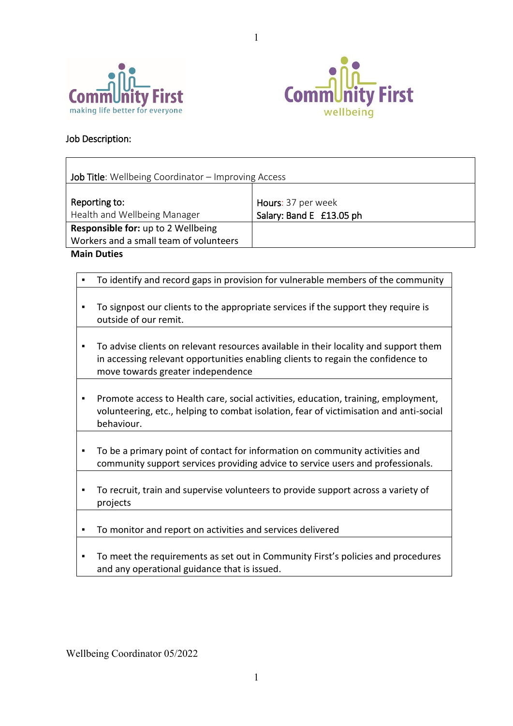



## Job Description:

| <b>Job Title:</b> Wellbeing Coordinator – Improving Access |                                                |  |  |  |
|------------------------------------------------------------|------------------------------------------------|--|--|--|
| Reporting to:<br>Health and Wellbeing Manager              | Hours: 37 per week<br>Salary: Band E £13.05 ph |  |  |  |
| <b>Responsible for: up to 2 Wellbeing</b>                  |                                                |  |  |  |
| Workers and a small team of volunteers                     |                                                |  |  |  |

1

**Main Duties**

| $\blacksquare$ | To identify and record gaps in provision for vulnerable members of the community                                                                                                                              |
|----------------|---------------------------------------------------------------------------------------------------------------------------------------------------------------------------------------------------------------|
|                | To signpost our clients to the appropriate services if the support they require is<br>outside of our remit.                                                                                                   |
|                | To advise clients on relevant resources available in their locality and support them<br>in accessing relevant opportunities enabling clients to regain the confidence to<br>move towards greater independence |
|                | Promote access to Health care, social activities, education, training, employment,<br>volunteering, etc., helping to combat isolation, fear of victimisation and anti-social<br>behaviour.                    |
|                | To be a primary point of contact for information on community activities and<br>community support services providing advice to service users and professionals.                                               |
|                | To recruit, train and supervise volunteers to provide support across a variety of<br>projects                                                                                                                 |
|                | To monitor and report on activities and services delivered                                                                                                                                                    |
| ٠              | To meet the requirements as set out in Community First's policies and procedures<br>and any operational guidance that is issued.                                                                              |

Wellbeing Coordinator 05/2022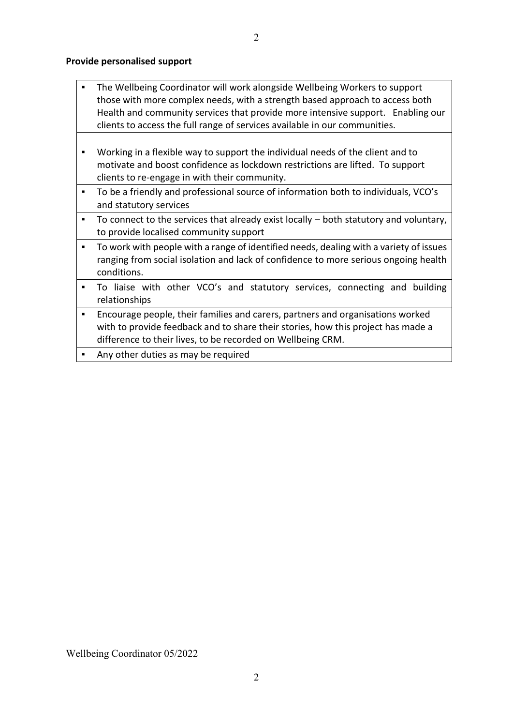## **Provide personalised support**

| . The Wellbeing Coordinator will work alongside Wellbeing Workers to support    |  |  |
|---------------------------------------------------------------------------------|--|--|
| those with more complex needs, with a strength based approach to access both    |  |  |
| Health and community services that provide more intensive support. Enabling our |  |  |
| clients to access the full range of services available in our communities.      |  |  |

- Working in a flexible way to support the individual needs of the client and to motivate and boost confidence as lockdown restrictions are lifted. To support clients to re-engage in with their community.
- To be a friendly and professional source of information both to individuals, VCO's and statutory services
- To connect to the services that already exist locally both statutory and voluntary, to provide localised community support
- To work with people with a range of identified needs, dealing with a variety of issues ranging from social isolation and lack of confidence to more serious ongoing health conditions.
- To liaise with other VCO's and statutory services, connecting and building relationships
- Encourage people, their families and carers, partners and organisations worked with to provide feedback and to share their stories, how this project has made a difference to their lives, to be recorded on Wellbeing CRM.
- Any other duties as may be required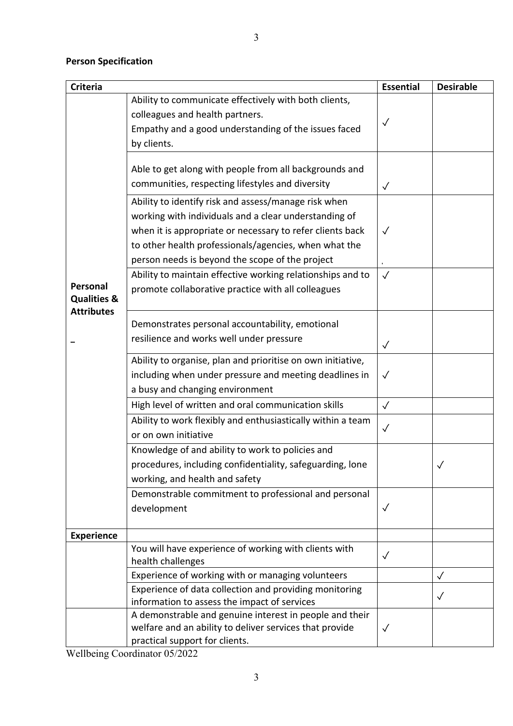## **Person Specification**

| <b>Criteria</b>                    |                                                                                                                                                                 | <b>Essential</b> | <b>Desirable</b> |
|------------------------------------|-----------------------------------------------------------------------------------------------------------------------------------------------------------------|------------------|------------------|
|                                    | Ability to communicate effectively with both clients,<br>colleagues and health partners.<br>Empathy and a good understanding of the issues faced<br>by clients. | $\checkmark$     |                  |
|                                    | Able to get along with people from all backgrounds and<br>communities, respecting lifestyles and diversity                                                      | $\sqrt{}$        |                  |
|                                    | Ability to identify risk and assess/manage risk when<br>working with individuals and a clear understanding of                                                   |                  |                  |
|                                    | when it is appropriate or necessary to refer clients back<br>to other health professionals/agencies, when what the                                              | $\sqrt{}$        |                  |
|                                    | person needs is beyond the scope of the project                                                                                                                 |                  |                  |
| Personal<br><b>Qualities &amp;</b> | Ability to maintain effective working relationships and to<br>promote collaborative practice with all colleagues                                                | $\checkmark$     |                  |
| <b>Attributes</b>                  | Demonstrates personal accountability, emotional                                                                                                                 |                  |                  |
|                                    | resilience and works well under pressure                                                                                                                        | $\checkmark$     |                  |
|                                    | Ability to organise, plan and prioritise on own initiative,                                                                                                     |                  |                  |
|                                    | including when under pressure and meeting deadlines in                                                                                                          | $\checkmark$     |                  |
|                                    | a busy and changing environment                                                                                                                                 |                  |                  |
|                                    | High level of written and oral communication skills                                                                                                             | $\checkmark$     |                  |
|                                    | Ability to work flexibly and enthusiastically within a team<br>or on own initiative                                                                             | $\checkmark$     |                  |
|                                    | Knowledge of and ability to work to policies and                                                                                                                |                  |                  |
|                                    | procedures, including confidentiality, safeguarding, lone<br>working, and health and safety                                                                     |                  | $\checkmark$     |
|                                    | Demonstrable commitment to professional and personal<br>development                                                                                             | $\sqrt{}$        |                  |
| <b>Experience</b>                  |                                                                                                                                                                 |                  |                  |
|                                    | You will have experience of working with clients with<br>health challenges                                                                                      | $\sqrt{}$        |                  |
|                                    | Experience of working with or managing volunteers                                                                                                               |                  |                  |
|                                    | Experience of data collection and providing monitoring<br>information to assess the impact of services                                                          |                  | ✓                |
|                                    | A demonstrable and genuine interest in people and their<br>welfare and an ability to deliver services that provide<br>practical support for clients.            | $\checkmark$     |                  |

Wellbeing Coordinator 05/2022